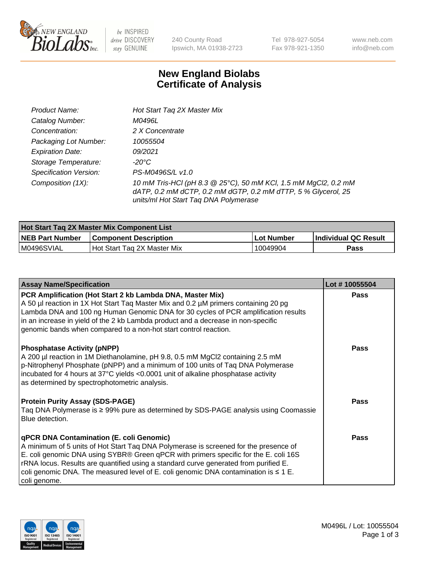

 $be$  INSPIRED drive DISCOVERY stay GENUINE

240 County Road Ipswich, MA 01938-2723 Tel 978-927-5054 Fax 978-921-1350

www.neb.com info@neb.com

## **New England Biolabs Certificate of Analysis**

| Product Name:           | Hot Start Tag 2X Master Mix                                                                                                                                               |
|-------------------------|---------------------------------------------------------------------------------------------------------------------------------------------------------------------------|
| Catalog Number:         | M0496L                                                                                                                                                                    |
| Concentration:          | 2 X Concentrate                                                                                                                                                           |
| Packaging Lot Number:   | 10055504                                                                                                                                                                  |
| <b>Expiration Date:</b> | 09/2021                                                                                                                                                                   |
| Storage Temperature:    | -20°C                                                                                                                                                                     |
| Specification Version:  | PS-M0496S/L v1.0                                                                                                                                                          |
| Composition (1X):       | 10 mM Tris-HCl (pH 8.3 @ 25°C), 50 mM KCl, 1.5 mM MgCl2, 0.2 mM<br>dATP, 0.2 mM dCTP, 0.2 mM dGTP, 0.2 mM dTTP, 5 % Glycerol, 25<br>units/ml Hot Start Taq DNA Polymerase |

| <b>Hot Start Tag 2X Master Mix Component List</b> |                               |                   |                       |  |
|---------------------------------------------------|-------------------------------|-------------------|-----------------------|--|
| <b>NEB Part Number</b>                            | <b>Component Description</b>  | <b>Lot Number</b> | ∣Individual QC Result |  |
| M0496SVIAL                                        | l Hot Start Tag 2X Master Mix | 10049904          | Pass                  |  |

| <b>Assay Name/Specification</b>                                                                                                                                                                                                                                                                                                                                                                                              | Lot #10055504 |
|------------------------------------------------------------------------------------------------------------------------------------------------------------------------------------------------------------------------------------------------------------------------------------------------------------------------------------------------------------------------------------------------------------------------------|---------------|
| PCR Amplification (Hot Start 2 kb Lambda DNA, Master Mix)<br>A 50 µl reaction in 1X Hot Start Taq Master Mix and 0.2 µM primers containing 20 pg<br>Lambda DNA and 100 ng Human Genomic DNA for 30 cycles of PCR amplification results<br>in an increase in yield of the 2 kb Lambda product and a decrease in non-specific<br>genomic bands when compared to a non-hot start control reaction.                              | <b>Pass</b>   |
| <b>Phosphatase Activity (pNPP)</b><br>A 200 µl reaction in 1M Diethanolamine, pH 9.8, 0.5 mM MgCl2 containing 2.5 mM<br>p-Nitrophenyl Phosphate (pNPP) and a minimum of 100 units of Taq DNA Polymerase<br>incubated for 4 hours at 37°C yields <0.0001 unit of alkaline phosphatase activity<br>as determined by spectrophotometric analysis.                                                                               | Pass          |
| <b>Protein Purity Assay (SDS-PAGE)</b><br>Taq DNA Polymerase is ≥ 99% pure as determined by SDS-PAGE analysis using Coomassie<br>Blue detection.                                                                                                                                                                                                                                                                             | Pass          |
| qPCR DNA Contamination (E. coli Genomic)<br>A minimum of 5 units of Hot Start Taq DNA Polymerase is screened for the presence of<br>E. coli genomic DNA using SYBR® Green qPCR with primers specific for the E. coli 16S<br>rRNA locus. Results are quantified using a standard curve generated from purified E.<br>coli genomic DNA. The measured level of E. coli genomic DNA contamination is $\leq 1$ E.<br>coli genome. | Pass          |

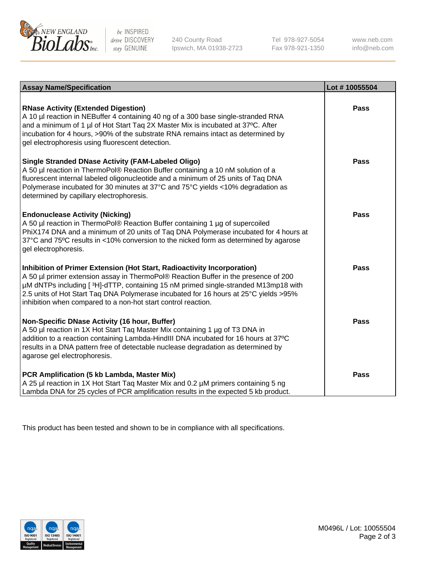

be INSPIRED drive DISCOVERY stay GENUINE

240 County Road Ipswich, MA 01938-2723 Tel 978-927-5054 Fax 978-921-1350 www.neb.com info@neb.com

| <b>Assay Name/Specification</b>                                                                                                                                                                                                                                                                                                                                                                                             | Lot #10055504 |
|-----------------------------------------------------------------------------------------------------------------------------------------------------------------------------------------------------------------------------------------------------------------------------------------------------------------------------------------------------------------------------------------------------------------------------|---------------|
| <b>RNase Activity (Extended Digestion)</b><br>A 10 µl reaction in NEBuffer 4 containing 40 ng of a 300 base single-stranded RNA<br>and a minimum of 1 µl of Hot Start Tag 2X Master Mix is incubated at 37°C. After<br>incubation for 4 hours, >90% of the substrate RNA remains intact as determined by<br>gel electrophoresis using fluorescent detection.                                                                | <b>Pass</b>   |
| <b>Single Stranded DNase Activity (FAM-Labeled Oligo)</b><br>A 50 µl reaction in ThermoPol® Reaction Buffer containing a 10 nM solution of a<br>fluorescent internal labeled oligonucleotide and a minimum of 25 units of Taq DNA<br>Polymerase incubated for 30 minutes at 37°C and 75°C yields <10% degradation as<br>determined by capillary electrophoresis.                                                            | <b>Pass</b>   |
| <b>Endonuclease Activity (Nicking)</b><br>A 50 µl reaction in ThermoPol® Reaction Buffer containing 1 µg of supercoiled<br>PhiX174 DNA and a minimum of 20 units of Taq DNA Polymerase incubated for 4 hours at<br>37°C and 75°C results in <10% conversion to the nicked form as determined by agarose<br>gel electrophoresis.                                                                                             | Pass          |
| Inhibition of Primer Extension (Hot Start, Radioactivity Incorporation)<br>A 50 µl primer extension assay in ThermoPol® Reaction Buffer in the presence of 200<br> µM dNTPs including [ <sup>3</sup> H]-dTTP, containing 15 nM primed single-stranded M13mp18 with<br>2.5 units of Hot Start Taq DNA Polymerase incubated for 16 hours at 25°C yields >95%<br>inhibition when compared to a non-hot start control reaction. | <b>Pass</b>   |
| Non-Specific DNase Activity (16 hour, Buffer)<br>A 50 µl reaction in 1X Hot Start Taq Master Mix containing 1 µg of T3 DNA in<br>addition to a reaction containing Lambda-HindIII DNA incubated for 16 hours at 37°C<br>results in a DNA pattern free of detectable nuclease degradation as determined by<br>agarose gel electrophoresis.                                                                                   | <b>Pass</b>   |
| PCR Amplification (5 kb Lambda, Master Mix)<br>A 25 µl reaction in 1X Hot Start Taq Master Mix and 0.2 µM primers containing 5 ng<br>Lambda DNA for 25 cycles of PCR amplification results in the expected 5 kb product.                                                                                                                                                                                                    | <b>Pass</b>   |

This product has been tested and shown to be in compliance with all specifications.